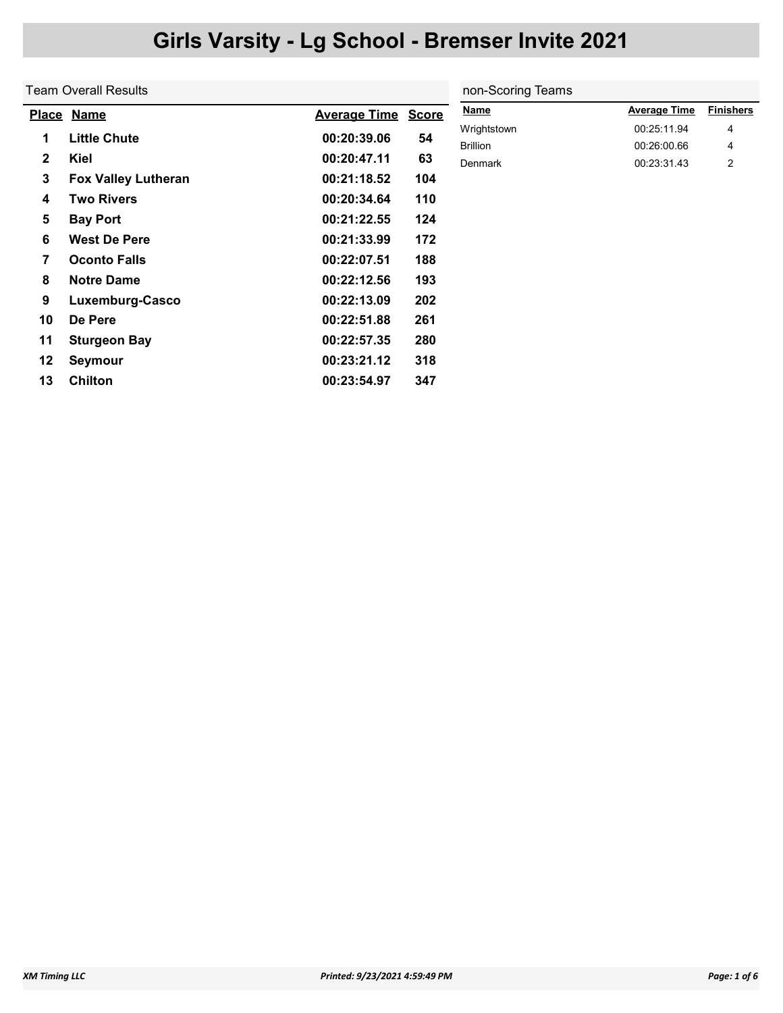|              | Team Overall Results       |                     |              | non-Scoring Teams              |                            |                  |
|--------------|----------------------------|---------------------|--------------|--------------------------------|----------------------------|------------------|
|              | Place Name                 | <b>Average Time</b> | <b>Score</b> | <b>Name</b>                    | <b>Average Time</b>        | <b>Finishers</b> |
| 1            | <b>Little Chute</b>        | 00:20:39.06         | 54           | Wrightstown<br><b>Brillion</b> | 00:25:11.94<br>00:26:00.66 | 4<br>4           |
| $\mathbf{2}$ | Kiel                       | 00:20:47.11         | 63           | <b>Denmark</b>                 | 00:23:31.43                | $\overline{2}$   |
| 3            | <b>Fox Valley Lutheran</b> | 00:21:18.52         | 104          |                                |                            |                  |
| 4            | <b>Two Rivers</b>          | 00:20:34.64         | 110          |                                |                            |                  |
| 5            | <b>Bay Port</b>            | 00:21:22.55         | 124          |                                |                            |                  |
| 6            | <b>West De Pere</b>        | 00:21:33.99         | 172          |                                |                            |                  |
| 7            | <b>Oconto Falls</b>        | 00:22:07.51         | 188          |                                |                            |                  |
| 8            | <b>Notre Dame</b>          | 00:22:12.56         | 193          |                                |                            |                  |
| 9            | Luxemburg-Casco            | 00:22:13.09         | 202          |                                |                            |                  |
| 10           | De Pere                    | 00:22:51.88         | 261          |                                |                            |                  |
| 11           | <b>Sturgeon Bay</b>        | 00:22:57.35         | 280          |                                |                            |                  |
| 12           | Seymour                    | 00:23:21.12         | 318          |                                |                            |                  |
| 13           | <b>Chilton</b>             | 00:23:54.97         | 347          |                                |                            |                  |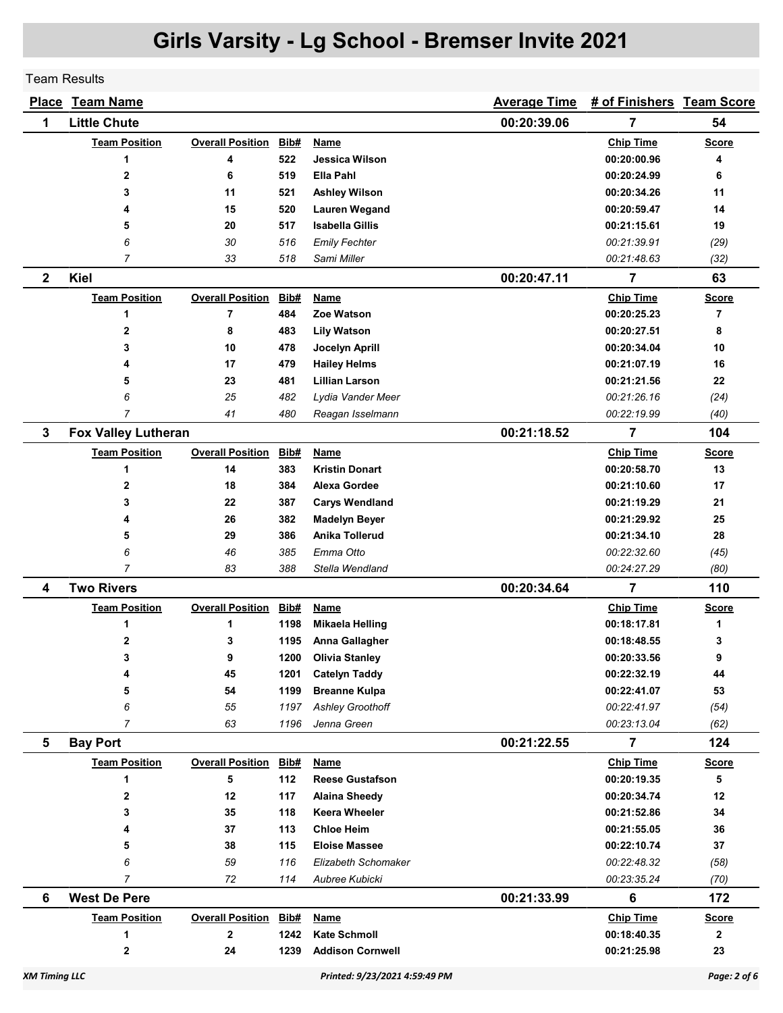Team Results

| <u>Place</u>         | <b>Team Name</b>           |                         |      |                               | <b>Average Time</b> | # of Finishers Team Score |              |
|----------------------|----------------------------|-------------------------|------|-------------------------------|---------------------|---------------------------|--------------|
| 1                    | <b>Little Chute</b>        |                         |      |                               | 00:20:39.06         | 7                         | 54           |
|                      | <b>Team Position</b>       | <b>Overall Position</b> | Bib# | Name                          |                     | <b>Chip Time</b>          | <b>Score</b> |
|                      | 1                          | 4                       | 522  | Jessica Wilson                |                     | 00:20:00.96               | 4            |
|                      | 2                          | 6                       | 519  | Ella Pahl                     |                     | 00:20:24.99               | 6            |
|                      | 3                          | 11                      | 521  | <b>Ashley Wilson</b>          |                     | 00:20:34.26               | 11           |
|                      | 4                          | 15                      | 520  | <b>Lauren Wegand</b>          |                     | 00:20:59.47               | 14           |
|                      | 5                          | 20                      | 517  | <b>Isabella Gillis</b>        |                     | 00:21:15.61               | 19           |
|                      | 6                          | 30                      | 516  | <b>Emily Fechter</b>          |                     | 00:21:39.91               | (29)         |
|                      | $\overline{7}$             | 33                      | 518  | Sami Miller                   |                     | 00:21:48.63               | (32)         |
| $\mathbf{2}$         | Kiel                       |                         |      |                               | 00:20:47.11         | 7                         | 63           |
|                      | <b>Team Position</b>       | <b>Overall Position</b> | Bib# | Name                          |                     | <b>Chip Time</b>          | <b>Score</b> |
|                      | 1                          | 7                       | 484  | Zoe Watson                    |                     | 00:20:25.23               | 7            |
|                      | $\mathbf 2$                | 8                       | 483  | <b>Lily Watson</b>            |                     | 00:20:27.51               | 8            |
|                      | 3                          | 10                      | 478  | Jocelyn Aprill                |                     | 00:20:34.04               | 10           |
|                      | 4                          | 17                      | 479  | <b>Hailey Helms</b>           |                     | 00:21:07.19               | 16           |
|                      | 5                          | 23                      | 481  | <b>Lillian Larson</b>         |                     | 00:21:21.56               | 22           |
|                      | 6                          | 25                      | 482  | Lydia Vander Meer             |                     | 00:21:26.16               | (24)         |
|                      | $\overline{7}$             | 41                      | 480  | Reagan Isselmann              |                     | 00:22:19.99               | (40)         |
| 3                    | <b>Fox Valley Lutheran</b> |                         |      |                               | 00:21:18.52         | 7                         | 104          |
|                      | <b>Team Position</b>       | <b>Overall Position</b> | Bib# | Name                          |                     | <b>Chip Time</b>          | <b>Score</b> |
|                      | 1                          | 14                      | 383  | <b>Kristin Donart</b>         |                     | 00:20:58.70               | 13           |
|                      | 2                          | 18                      | 384  | Alexa Gordee                  |                     | 00:21:10.60               | 17           |
|                      | 3                          | 22                      | 387  | <b>Carys Wendland</b>         |                     | 00:21:19.29               | 21           |
|                      | 4                          | 26                      | 382  | <b>Madelyn Beyer</b>          |                     | 00:21:29.92               | 25           |
|                      | 5                          | 29                      | 386  | Anika Tollerud                |                     | 00:21:34.10               | 28           |
|                      | 6                          | 46                      | 385  | Emma Otto                     |                     | 00:22:32.60               | (45)         |
|                      | 7                          | 83                      | 388  | Stella Wendland               |                     | 00:24:27.29               | (80)         |
| 4                    | <b>Two Rivers</b>          |                         |      |                               | 00:20:34.64         | $\overline{7}$            | 110          |
|                      | <b>Team Position</b>       | <b>Overall Position</b> | Bib# | <u>Name</u>                   |                     | <b>Chip Time</b>          | <b>Score</b> |
|                      | 1                          | 1                       | 1198 | <b>Mikaela Helling</b>        |                     | 00:18:17.81               | 1            |
|                      | 2                          | 3                       | 1195 | Anna Gallagher                |                     | 00:18:48.55               | 3            |
|                      | 3                          | 9                       | 1200 | <b>Olivia Stanley</b>         |                     | 00:20:33.56               | 9            |
|                      | 4                          | 45                      | 1201 | <b>Catelyn Taddy</b>          |                     | 00:22:32.19               | 44           |
|                      | 5                          | 54                      | 1199 | <b>Breanne Kulpa</b>          |                     | 00:22:41.07               | 53           |
|                      | 6                          | 55                      | 1197 | <b>Ashley Groothoff</b>       |                     | 00:22:41.97               | (54)         |
|                      | $\overline{7}$             | 63                      | 1196 | Jenna Green                   |                     | 00:23:13.04               | (62)         |
| 5                    | <b>Bay Port</b>            |                         |      |                               | 00:21:22.55         | 7                         | 124          |
|                      | <b>Team Position</b>       | <b>Overall Position</b> | Bib# | <b>Name</b>                   |                     | <b>Chip Time</b>          | <b>Score</b> |
|                      | 1                          | 5                       | 112  | <b>Reese Gustafson</b>        |                     | 00:20:19.35               | 5            |
|                      | 2                          | 12                      | 117  | <b>Alaina Sheedy</b>          |                     | 00:20:34.74               | 12           |
|                      | 3                          | 35                      | 118  | <b>Keera Wheeler</b>          |                     | 00:21:52.86               | 34           |
|                      | 4                          | 37                      | 113  | <b>Chloe Heim</b>             |                     | 00:21:55.05               | 36           |
|                      | 5                          | 38                      | 115  | <b>Eloise Massee</b>          |                     | 00:22:10.74               | 37           |
|                      | 6                          | 59                      | 116  | Elizabeth Schomaker           |                     | 00:22:48.32               | (58)         |
|                      | $\overline{7}$             | 72                      | 114  | Aubree Kubicki                |                     | 00:23:35.24               | (70)         |
| 6                    | <b>West De Pere</b>        |                         |      |                               | 00:21:33.99         | 6                         | 172          |
|                      | <b>Team Position</b>       | <b>Overall Position</b> | Bib# | Name                          |                     | <b>Chip Time</b>          | <b>Score</b> |
|                      | 1                          | $\mathbf{2}$            | 1242 | <b>Kate Schmoll</b>           |                     | 00:18:40.35               | $\mathbf{2}$ |
|                      | $\overline{\mathbf{2}}$    | 24                      | 1239 | <b>Addison Cornwell</b>       |                     | 00:21:25.98               | 23           |
| <b>XM Timing LLC</b> |                            |                         |      | Printed: 9/23/2021 4:59:49 PM |                     |                           | Page: 2 of 6 |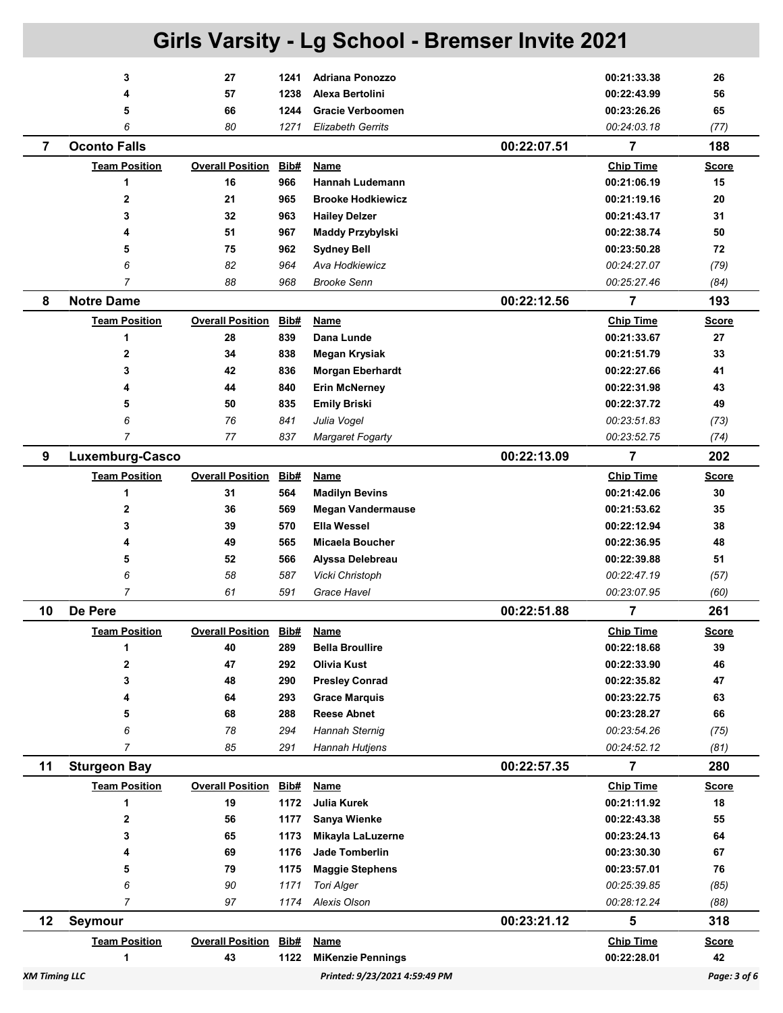|                      | Girls Varsity - Lg School - Bremser Invite 2021 |                               |                    |                                       |             |                                 |                    |  |
|----------------------|-------------------------------------------------|-------------------------------|--------------------|---------------------------------------|-------------|---------------------------------|--------------------|--|
|                      | 3                                               | 27                            | 1241               | <b>Adriana Ponozzo</b>                |             | 00:21:33.38                     | 26                 |  |
|                      | 4                                               | 57                            | 1238               | Alexa Bertolini                       |             | 00:22:43.99                     | 56                 |  |
|                      | 5                                               | 66                            | 1244               | <b>Gracie Verboomen</b>               |             | 00:23:26.26                     | 65                 |  |
|                      | 6                                               | 80                            | 1271               | <b>Elizabeth Gerrits</b>              |             | 00:24:03.18                     | (77)               |  |
| $\overline{7}$       | <b>Oconto Falls</b>                             |                               |                    |                                       | 00:22:07.51 | $\overline{7}$                  | 188                |  |
|                      | <b>Team Position</b>                            | <b>Overall Position</b>       | Bib#               | <b>Name</b>                           |             | <b>Chip Time</b>                | <b>Score</b>       |  |
|                      | 1                                               | 16                            | 966                | <b>Hannah Ludemann</b>                |             | 00:21:06.19                     | 15                 |  |
|                      | $\overline{2}$                                  | 21                            | 965                | <b>Brooke Hodkiewicz</b>              |             | 00:21:19.16                     | 20                 |  |
|                      | 3                                               | 32                            | 963                | <b>Hailey Delzer</b>                  |             | 00:21:43.17                     | 31                 |  |
|                      | 4                                               | 51                            | 967                | Maddy Przybylski                      |             | 00:22:38.74                     | 50                 |  |
|                      | 5                                               | 75                            | 962                | <b>Sydney Bell</b>                    |             | 00:23:50.28                     | 72                 |  |
|                      | 6                                               | 82                            | 964                | Ava Hodkiewicz                        |             | 00:24:27.07                     | (79)               |  |
|                      | 7                                               | 88                            | 968                | <b>Brooke Senn</b>                    |             | 00:25:27.46                     | (84)               |  |
| 8                    | <b>Notre Dame</b>                               |                               |                    |                                       | 00:22:12.56 | 7                               | 193                |  |
|                      | <b>Team Position</b>                            | <b>Overall Position</b>       | Bib#               | <b>Name</b>                           |             | <b>Chip Time</b>                | <u>Score</u>       |  |
|                      | 1                                               | 28                            | 839                | Dana Lunde                            |             | 00:21:33.67                     | 27                 |  |
|                      | 2                                               | 34                            | 838                | <b>Megan Krysiak</b>                  |             | 00:21:51.79                     | 33                 |  |
|                      | 3                                               | 42                            | 836                | <b>Morgan Eberhardt</b>               |             | 00:22:27.66                     | 41                 |  |
|                      | 4                                               | 44                            | 840                | <b>Erin McNerney</b>                  |             | 00:22:31.98                     | 43                 |  |
|                      | 5                                               | 50                            | 835                | <b>Emily Briski</b>                   |             | 00:22:37.72                     | 49                 |  |
|                      | 6                                               | 76                            | 841                | Julia Vogel                           |             | 00:23:51.83                     | (73)               |  |
|                      | 7                                               | 77                            | 837                | Margaret Fogarty                      |             | 00:23:52.75                     | (74)               |  |
| 9                    | Luxemburg-Casco                                 |                               |                    |                                       | 00:22:13.09 | 7                               | 202                |  |
|                      | <b>Team Position</b>                            | <b>Overall Position</b>       | Bib#               | <b>Name</b>                           |             | <b>Chip Time</b>                | Score              |  |
|                      | 1                                               | 31                            | 564                | <b>Madilyn Bevins</b>                 |             | 00:21:42.06                     | 30                 |  |
|                      | 2                                               | 36                            | 569                | <b>Megan Vandermause</b>              |             | 00:21:53.62                     | 35                 |  |
|                      | 3                                               | 39                            | 570                | <b>Ella Wessel</b>                    |             | 00:22:12.94                     | 38                 |  |
|                      | 4                                               | 49                            | 565                | Micaela Boucher                       |             | 00:22:36.95                     | 48                 |  |
|                      | 5                                               | 52                            | 566                | Alyssa Delebreau                      |             | 00:22:39.88                     | 51                 |  |
|                      | 6<br>7                                          | 58<br>61                      | 587<br>591         | Vicki Christoph                       |             | 00:22:47.19                     | (57)               |  |
| 10                   | De Pere                                         |                               |                    | Grace Havel                           | 00:22:51.88 | 00:23:07.95<br>7                | (60)<br>261        |  |
|                      |                                                 |                               |                    |                                       |             |                                 |                    |  |
|                      | <b>Team Position</b><br>1                       | <b>Overall Position</b><br>40 | <b>Bib#</b><br>289 | <b>Name</b><br><b>Bella Broullire</b> |             | <b>Chip Time</b><br>00:22:18.68 | <b>Score</b><br>39 |  |
|                      | 2                                               | 47                            | 292                | <b>Olivia Kust</b>                    |             | 00:22:33.90                     | 46                 |  |
|                      | 3                                               | 48                            | 290                | <b>Presley Conrad</b>                 |             | 00:22:35.82                     | 47                 |  |
|                      | 4                                               | 64                            | 293                | <b>Grace Marquis</b>                  |             | 00:23:22.75                     | 63                 |  |
|                      | 5                                               | 68                            | 288                | <b>Reese Abnet</b>                    |             | 00:23:28.27                     | 66                 |  |
|                      | 6                                               | 78                            | 294                | Hannah Sternig                        |             | 00:23:54.26                     | (75)               |  |
|                      | 7                                               | 85                            | 291                | Hannah Hutjens                        |             | 00:24:52.12                     | (81)               |  |
| 11                   | <b>Sturgeon Bay</b>                             |                               |                    |                                       | 00:22:57.35 | 7                               | 280                |  |
|                      | <b>Team Position</b>                            | <b>Overall Position</b>       | <b>Bib#</b>        | <b>Name</b>                           |             | <b>Chip Time</b>                | <b>Score</b>       |  |
|                      | 1                                               | 19                            | 1172               | <b>Julia Kurek</b>                    |             | 00:21:11.92                     | 18                 |  |
|                      | 2                                               | 56                            | 1177               | Sanya Wienke                          |             | 00:22:43.38                     | 55                 |  |
|                      | 3                                               | 65                            | 1173               | Mikayla LaLuzerne                     |             | 00:23:24.13                     | 64                 |  |
|                      | 4                                               | 69                            | 1176               | <b>Jade Tomberlin</b>                 |             | 00:23:30.30                     | 67                 |  |
|                      | 5                                               | 79                            | 1175               | <b>Maggie Stephens</b>                |             | 00:23:57.01                     | 76                 |  |
|                      | 6                                               | 90                            | 1171               | <b>Tori Alger</b>                     |             | 00:25:39.85                     | (85)               |  |
|                      | 7                                               | 97                            | 1174               | Alexis Olson                          |             | 00:28:12.24                     | (88)               |  |
| 12                   | <b>Seymour</b>                                  |                               |                    |                                       | 00:23:21.12 | 5                               | 318                |  |
|                      | <b>Team Position</b>                            | <b>Overall Position</b>       | Bib#               | <b>Name</b>                           |             | <b>Chip Time</b>                | <b>Score</b>       |  |
|                      | 1                                               | 43                            | 1122               | <b>MiKenzie Pennings</b>              |             | 00:22:28.01                     | 42                 |  |
| <b>XM Timing LLC</b> |                                                 |                               |                    | Printed: 9/23/2021 4:59:49 PM         |             |                                 | Page: 3 of 6       |  |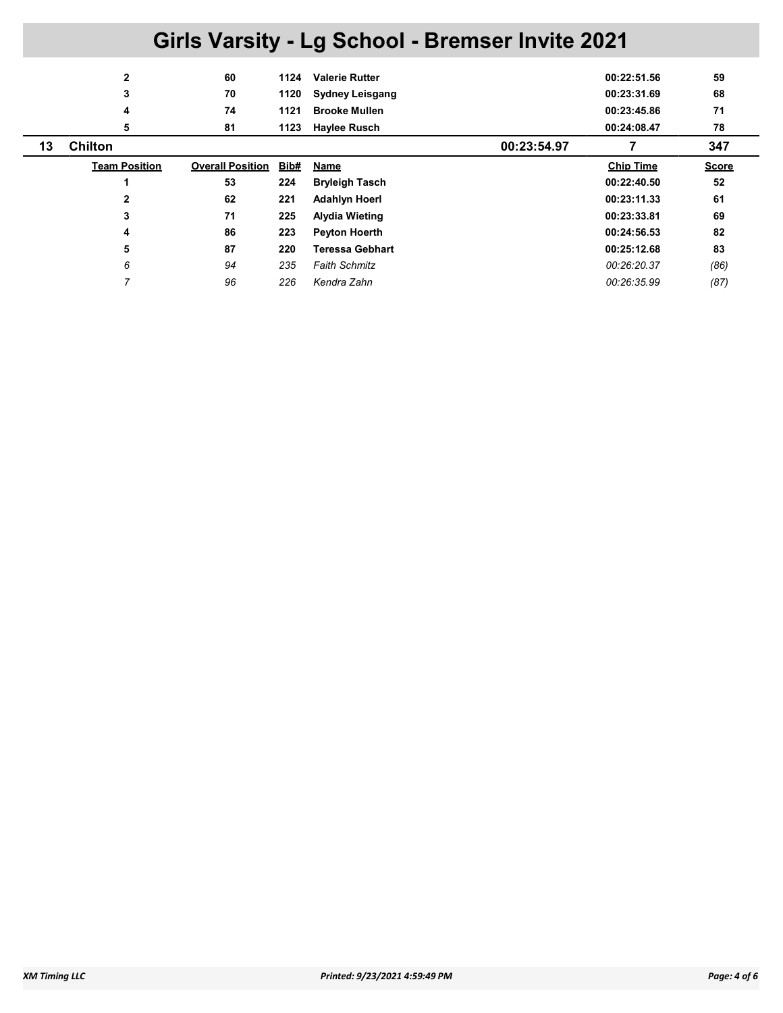|    | 2                    | 60                      | 1124 | <b>Valerie Rutter</b>  |             | 00:22:51.56      | 59           |
|----|----------------------|-------------------------|------|------------------------|-------------|------------------|--------------|
|    | 3                    | 70                      | 1120 | <b>Sydney Leisgang</b> |             | 00:23:31.69      | 68           |
|    | 4                    | 74                      | 1121 | <b>Brooke Mullen</b>   |             | 00:23:45.86      | 71           |
|    | 5                    | 81                      | 1123 | <b>Haylee Rusch</b>    |             | 00:24:08.47      | 78           |
| 13 | <b>Chilton</b>       |                         |      |                        | 00:23:54.97 |                  | 347          |
|    | <b>Team Position</b> | <b>Overall Position</b> | Bib# | Name                   |             | <b>Chip Time</b> | <b>Score</b> |
|    |                      | 53                      | 224  | <b>Bryleigh Tasch</b>  |             | 00:22:40.50      | 52           |
|    | $\mathbf{2}$         | 62                      | 221  | <b>Adahlyn Hoerl</b>   |             | 00:23:11.33      | 61           |
|    | 3                    | 71                      | 225  | <b>Alydia Wieting</b>  |             | 00:23:33.81      | 69           |
|    | 4                    | 86                      | 223  | <b>Peyton Hoerth</b>   |             | 00:24:56.53      | 82           |
|    | 5                    | 87                      | 220  | <b>Teressa Gebhart</b> |             | 00:25:12.68      | 83           |
|    | 6                    | 94                      | 235  | <b>Faith Schmitz</b>   |             | 00:26:20.37      | (86)         |
|    | 7                    | 96                      | 226  | Kendra Zahn            |             | 00:26:35.99      | (87)         |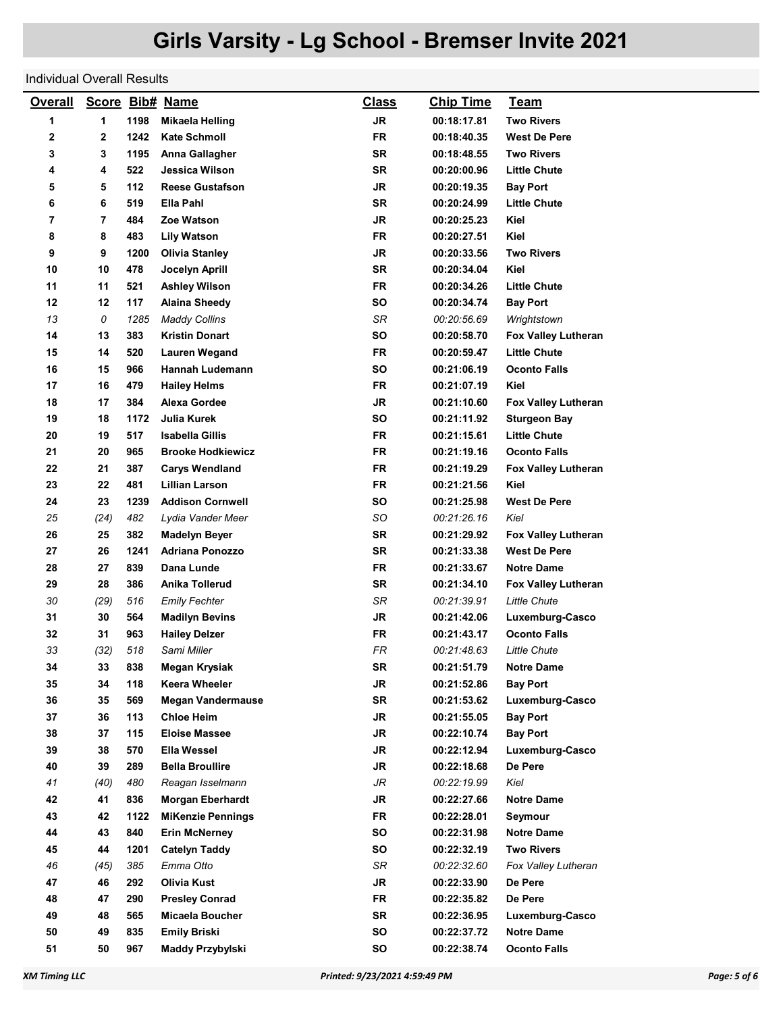## Individual Overall Results

| <b>Overall</b> |                |      | Score Bib# Name          | <b>Class</b> | <b>Chip Time</b> | <u>Team</u>         |
|----------------|----------------|------|--------------------------|--------------|------------------|---------------------|
| 1              | 1              | 1198 | <b>Mikaela Helling</b>   | <b>JR</b>    | 00:18:17.81      | <b>Two Rivers</b>   |
| 2              | 2              | 1242 | <b>Kate Schmoll</b>      | <b>FR</b>    | 00:18:40.35      | <b>West De Pere</b> |
| 3              | 3              | 1195 | Anna Gallagher           | SR           | 00:18:48.55      | <b>Two Rivers</b>   |
| 4              | 4              | 522  | Jessica Wilson           | SR           | 00:20:00.96      | <b>Little Chute</b> |
| 5              | 5              | 112  | <b>Reese Gustafson</b>   | <b>JR</b>    | 00:20:19.35      | <b>Bay Port</b>     |
| 6              | 6              | 519  | Ella Pahl                | <b>SR</b>    | 00:20:24.99      | Little Chute        |
| 7              | $\overline{7}$ | 484  | Zoe Watson               | <b>JR</b>    | 00:20:25.23      | Kiel                |
| 8              | 8              | 483  | Lily Watson              | <b>FR</b>    | 00:20:27.51      | Kiel                |
| 9              | 9              | 1200 | <b>Olivia Stanley</b>    | <b>JR</b>    | 00:20:33.56      | <b>Two Rivers</b>   |
| 10             | 10             | 478  | Jocelyn Aprill           | <b>SR</b>    | 00:20:34.04      | Kiel                |
| 11             | 11             | 521  | <b>Ashley Wilson</b>     | <b>FR</b>    | 00:20:34.26      | <b>Little Chute</b> |
| 12             | 12             | 117  | <b>Alaina Sheedy</b>     | <b>SO</b>    | 00:20:34.74      | <b>Bay Port</b>     |
| 13             | 0              | 1285 | <b>Maddy Collins</b>     | SR           | 00:20:56.69      | Wrightstown         |
| 14             | 13             | 383  | Kristin Donart           | <b>SO</b>    | 00:20:58.70      | Fox Valley Lutheran |
| 15             | 14             | 520  | <b>Lauren Wegand</b>     | <b>FR</b>    | 00:20:59.47      | <b>Little Chute</b> |
| 16             | 15             | 966  | Hannah Ludemann          | <b>SO</b>    | 00:21:06.19      | <b>Oconto Falls</b> |
| 17             | 16             | 479  | <b>Hailey Helms</b>      | <b>FR</b>    | 00:21:07.19      | Kiel                |
| 18             | 17             | 384  | <b>Alexa Gordee</b>      | <b>JR</b>    | 00:21:10.60      | Fox Valley Lutheran |
| 19             | 18             | 1172 | Julia Kurek              | <b>SO</b>    | 00:21:11.92      | <b>Sturgeon Bay</b> |
| 20             | 19             | 517  | Isabella Gillis          | <b>FR</b>    | 00:21:15.61      | <b>Little Chute</b> |
| 21             | 20             | 965  | <b>Brooke Hodkiewicz</b> | <b>FR</b>    | 00:21:19.16      | <b>Oconto Falls</b> |
| 22             | 21             | 387  | <b>Carys Wendland</b>    | FR           | 00:21:19.29      | Fox Valley Lutheran |
| 23             | 22             | 481  | Lillian Larson           | <b>FR</b>    | 00:21:21.56      | Kiel                |
| 24             | 23             | 1239 | <b>Addison Cornwell</b>  | SΟ           | 00:21:25.98      | <b>West De Pere</b> |
| 25             | (24)           | 482  | Lydia Vander Meer        | SO           | 00:21:26.16      | Kiel                |
| 26             | 25             | 382  | <b>Madelyn Beyer</b>     | SR           | 00:21:29.92      | Fox Valley Lutheran |
| 27             | 26             | 1241 | <b>Adriana Ponozzo</b>   | <b>SR</b>    | 00:21:33.38      | <b>West De Pere</b> |
| 28             | 27             | 839  | Dana Lunde               | <b>FR</b>    | 00:21:33.67      | <b>Notre Dame</b>   |
| 29             | 28             | 386  | Anika Tollerud           | SR           | 00:21:34.10      | Fox Valley Lutheran |
| 30             | (29)           | 516  | <b>Emily Fechter</b>     | SR           | 00:21:39.91      | <b>Little Chute</b> |
| 31             | 30             | 564  | <b>Madilyn Bevins</b>    | <b>JR</b>    | 00:21:42.06      | Luxemburg-Casco     |
| 32             | 31             | 963  | <b>Hailey Delzer</b>     | <b>FR</b>    | 00:21:43.17      | <b>Oconto Falls</b> |
| 33             | (32)           | 518  | Sami Miller              | <b>FR</b>    | 00:21:48.63      | <b>Little Chute</b> |
| 34             | 33             | 838  | Megan Krysiak            | SR           | 00:21:51.79      | <b>Notre Dame</b>   |
| 35             | 34             | 118  | Keera Wheeler            | <b>JR</b>    | 00:21:52.86      | Bay Port            |
| 36             | 35             | 569  | <b>Megan Vandermause</b> | SR           | 00:21:53.62      | Luxemburg-Casco     |
| 37             | 36             | 113  | <b>Chloe Heim</b>        | <b>JR</b>    | 00:21:55.05      | <b>Bay Port</b>     |
| 38             | 37             | 115  | <b>Eloise Massee</b>     | <b>JR</b>    | 00:22:10.74      | <b>Bay Port</b>     |
| 39             | 38             | 570  | Ella Wessel              | <b>JR</b>    | 00:22:12.94      | Luxemburg-Casco     |
| 40             | 39             | 289  | <b>Bella Broullire</b>   | JR           | 00:22:18.68      | De Pere             |
| 41             | (40)           | 480  | Reagan Isselmann         | JR           | 00:22:19.99      | Kiel                |
| 42             | 41             | 836  | <b>Morgan Eberhardt</b>  | JR           | 00:22:27.66      | <b>Notre Dame</b>   |
| 43             | 42             | 1122 | <b>MiKenzie Pennings</b> | <b>FR</b>    | 00:22:28.01      | Seymour             |
| 44             | 43             | 840  | <b>Erin McNerney</b>     | SO           | 00:22:31.98      | Notre Dame          |
| 45             | 44             | 1201 | <b>Catelyn Taddy</b>     | SO           | 00:22:32.19      | <b>Two Rivers</b>   |
| 46             | (45)           | 385  | Emma Otto                | SR           | 00:22:32.60      | Fox Valley Lutheran |
| 47             | 46             | 292  | <b>Olivia Kust</b>       | JR           | 00:22:33.90      | De Pere             |
| 48             | 47             | 290  | <b>Presley Conrad</b>    | <b>FR</b>    | 00:22:35.82      | De Pere             |
| 49             | 48             | 565  | Micaela Boucher          | SR           | 00:22:36.95      | Luxemburg-Casco     |
| 50             | 49             | 835  | <b>Emily Briski</b>      | SO           | 00:22:37.72      | <b>Notre Dame</b>   |
| 51             | 50             | 967  | Maddy Przybylski         | SO           | 00:22:38.74      | <b>Oconto Falls</b> |